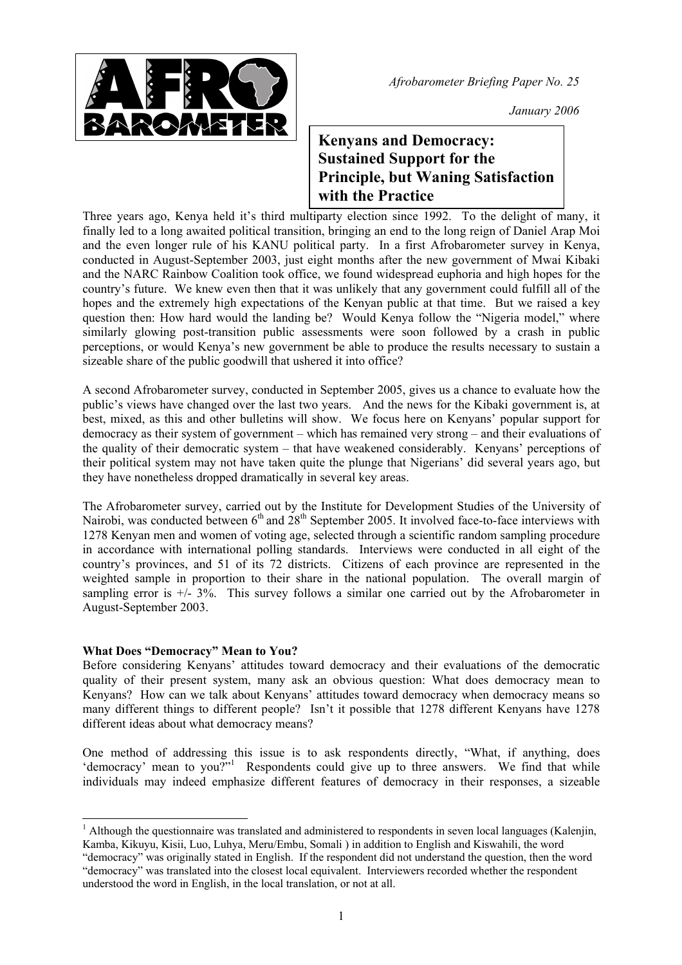

*January 2006*

## **Kenyans and Democracy: Sustained Support for the Principle, but Waning Satisfaction with the Practice**

Three years ago, Kenya held it's third multiparty election since 1992. To the delight of many, it finally led to a long awaited political transition, bringing an end to the long reign of Daniel Arap Moi and the even longer rule of his KANU political party. In a first Afrobarometer survey in Kenya, conducted in August-September 2003, just eight months after the new government of Mwai Kibaki and the NARC Rainbow Coalition took office, we found widespread euphoria and high hopes for the country's future. We knew even then that it was unlikely that any government could fulfill all of the hopes and the extremely high expectations of the Kenyan public at that time. But we raised a key question then: How hard would the landing be? Would Kenya follow the "Nigeria model," where similarly glowing post-transition public assessments were soon followed by a crash in public perceptions, or would Kenya's new government be able to produce the results necessary to sustain a sizeable share of the public goodwill that ushered it into office?

A second Afrobarometer survey, conducted in September 2005, gives us a chance to evaluate how the public's views have changed over the last two years. And the news for the Kibaki government is, at best, mixed, as this and other bulletins will show. We focus here on Kenyans' popular support for democracy as their system of government – which has remained very strong – and their evaluations of the quality of their democratic system – that have weakened considerably. Kenyans' perceptions of their political system may not have taken quite the plunge that Nigerians' did several years ago, but they have nonetheless dropped dramatically in several key areas.

The Afrobarometer survey, carried out by the Institute for Development Studies of the University of Nairobi, was conducted between  $6<sup>th</sup>$  and  $28<sup>th</sup>$  September 2005. It involved face-to-face interviews with 1278 Kenyan men and women of voting age, selected through a scientific random sampling procedure in accordance with international polling standards. Interviews were conducted in all eight of the country's provinces, and 51 of its 72 districts. Citizens of each province are represented in the weighted sample in proportion to their share in the national population. The overall margin of sampling error is  $+/- 3\%$ . This survey follows a similar one carried out by the Afrobarometer in August-September 2003.

## **What Does "Democracy" Mean to You?**

l

Before considering Kenyans' attitudes toward democracy and their evaluations of the democratic quality of their present system, many ask an obvious question: What does democracy mean to Kenyans? How can we talk about Kenyans' attitudes toward democracy when democracy means so many different things to different people? Isn't it possible that 1278 different Kenyans have 1278 different ideas about what democracy means?

One method of addressing this issue is to ask respondents directly, "What, if anything, does 'democracy' mean to you?"<sup>[1](#page-0-0)</sup> Respondents could give up to three answers. We find that while individuals may indeed emphasize different features of democracy in their responses, a sizeable

<span id="page-0-0"></span><sup>&</sup>lt;sup>1</sup> Although the questionnaire was translated and administered to respondents in seven local languages (Kalenjin, Kamba, Kikuyu, Kisii, Luo, Luhya, Meru/Embu, Somali ) in addition to English and Kiswahili, the word "democracy" was originally stated in English. If the respondent did not understand the question, then the word

<sup>&</sup>quot;democracy" was translated into the closest local equivalent. Interviewers recorded whether the respondent understood the word in English, in the local translation, or not at all.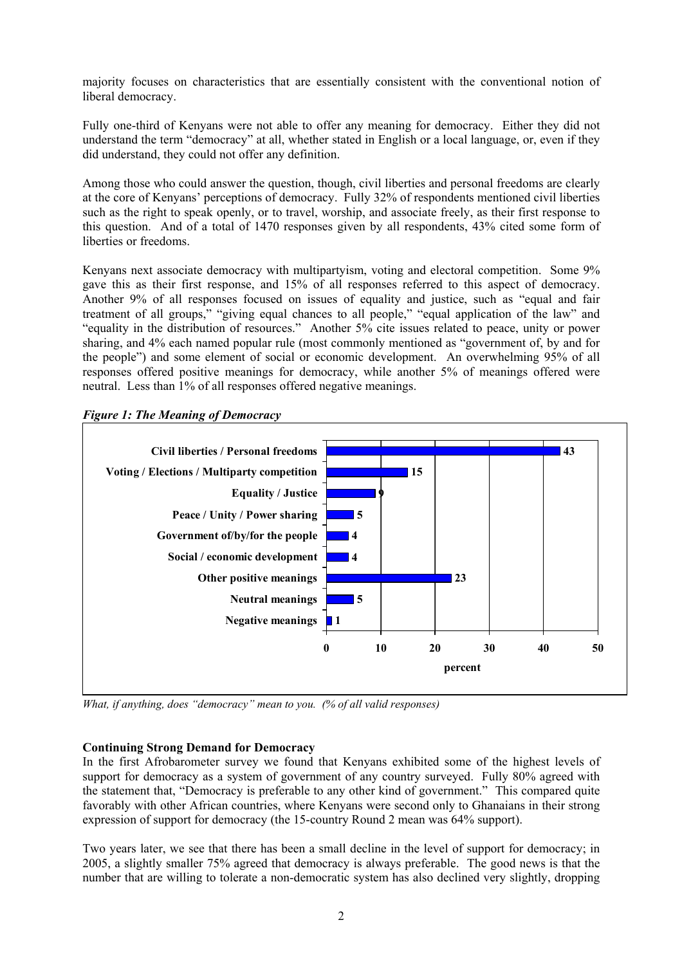majority focuses on characteristics that are essentially consistent with the conventional notion of liberal democracy.

Fully one-third of Kenyans were not able to offer any meaning for democracy. Either they did not understand the term "democracy" at all, whether stated in English or a local language, or, even if they did understand, they could not offer any definition.

Among those who could answer the question, though, civil liberties and personal freedoms are clearly at the core of Kenyans' perceptions of democracy. Fully 32% of respondents mentioned civil liberties such as the right to speak openly, or to travel, worship, and associate freely, as their first response to this question. And of a total of 1470 responses given by all respondents, 43% cited some form of liberties or freedoms.

Kenyans next associate democracy with multipartyism, voting and electoral competition. Some 9% gave this as their first response, and 15% of all responses referred to this aspect of democracy. Another 9% of all responses focused on issues of equality and justice, such as "equal and fair treatment of all groups," "giving equal chances to all people," "equal application of the law" and "equality in the distribution of resources." Another 5% cite issues related to peace, unity or power sharing, and 4% each named popular rule (most commonly mentioned as "government of, by and for the people") and some element of social or economic development. An overwhelming 95% of all responses offered positive meanings for democracy, while another 5% of meanings offered were neutral. Less than 1% of all responses offered negative meanings.



*Figure 1: The Meaning of Democracy* 

*What, if anything, does "democracy" mean to you. (% of all valid responses)*

## **Continuing Strong Demand for Democracy**

In the first Afrobarometer survey we found that Kenyans exhibited some of the highest levels of support for democracy as a system of government of any country surveyed. Fully 80% agreed with the statement that, "Democracy is preferable to any other kind of government." This compared quite favorably with other African countries, where Kenyans were second only to Ghanaians in their strong expression of support for democracy (the 15-country Round 2 mean was 64% support).

Two years later, we see that there has been a small decline in the level of support for democracy; in 2005, a slightly smaller 75% agreed that democracy is always preferable. The good news is that the number that are willing to tolerate a non-democratic system has also declined very slightly, dropping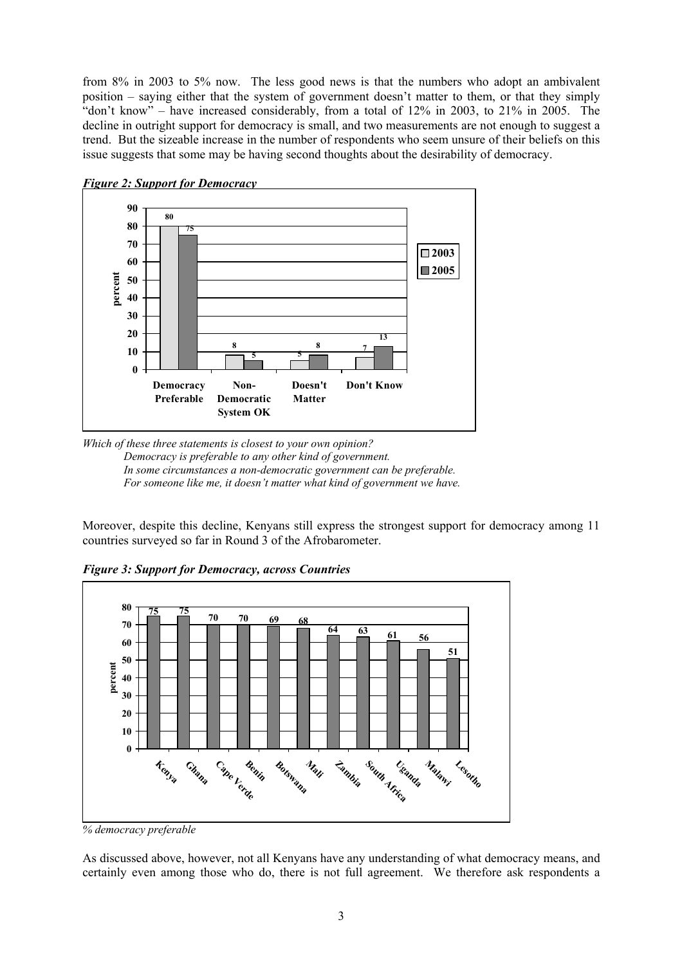from 8% in 2003 to 5% now. The less good news is that the numbers who adopt an ambivalent position – saying either that the system of government doesn't matter to them, or that they simply "don't know" – have increased considerably, from a total of  $12\%$  in  $2003$ , to  $21\%$  in  $2005$ . The decline in outright support for democracy is small, and two measurements are not enough to suggest a trend. But the sizeable increase in the number of respondents who seem unsure of their beliefs on this issue suggests that some may be having second thoughts about the desirability of democracy.





Moreover, despite this decline, Kenyans still express the strongest support for democracy among 11 countries surveyed so far in Round 3 of the Afrobarometer.

*Figure 3: Support for Democracy, across Countries* 



*<sup>%</sup> democracy preferable*

As discussed above, however, not all Kenyans have any understanding of what democracy means, and certainly even among those who do, there is not full agreement. We therefore ask respondents a

*Which of these three statements is closest to your own opinion? Democracy is preferable to any other kind of government. In some circumstances a non-democratic government can be preferable. For someone like me, it doesn't matter what kind of government we have.*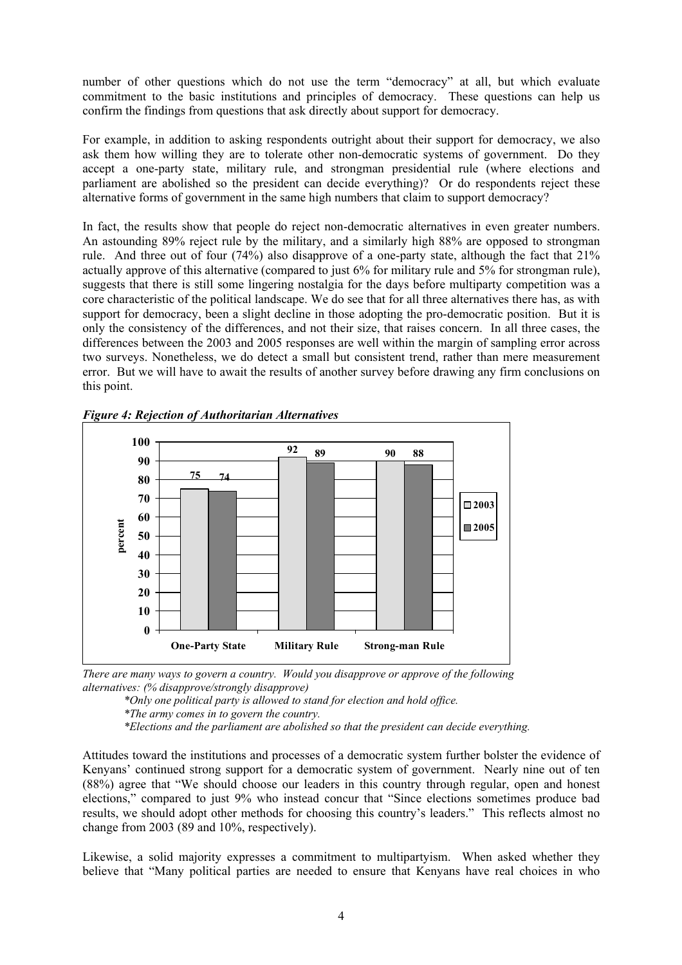number of other questions which do not use the term "democracy" at all, but which evaluate commitment to the basic institutions and principles of democracy. These questions can help us confirm the findings from questions that ask directly about support for democracy.

For example, in addition to asking respondents outright about their support for democracy, we also ask them how willing they are to tolerate other non-democratic systems of government. Do they accept a one-party state, military rule, and strongman presidential rule (where elections and parliament are abolished so the president can decide everything)? Or do respondents reject these alternative forms of government in the same high numbers that claim to support democracy?

In fact, the results show that people do reject non-democratic alternatives in even greater numbers. An astounding 89% reject rule by the military, and a similarly high 88% are opposed to strongman rule. And three out of four (74%) also disapprove of a one-party state, although the fact that 21% actually approve of this alternative (compared to just 6% for military rule and 5% for strongman rule), suggests that there is still some lingering nostalgia for the days before multiparty competition was a core characteristic of the political landscape. We do see that for all three alternatives there has, as with support for democracy, been a slight decline in those adopting the pro-democratic position. But it is only the consistency of the differences, and not their size, that raises concern. In all three cases, the differences between the 2003 and 2005 responses are well within the margin of sampling error across two surveys. Nonetheless, we do detect a small but consistent trend, rather than mere measurement error. But we will have to await the results of another survey before drawing any firm conclusions on this point.



*Figure 4: Rejection of Authoritarian Alternatives* 

*There are many ways to govern a country. Would you disapprove or approve of the following alternatives: (% disapprove/strongly disapprove)*

*\*Only one political party is allowed to stand for election and hold office.* 

*\*The army comes in to govern the country.* 

*\*Elections and the parliament are abolished so that the president can decide everything.* 

Attitudes toward the institutions and processes of a democratic system further bolster the evidence of Kenyans' continued strong support for a democratic system of government. Nearly nine out of ten (88%) agree that "We should choose our leaders in this country through regular, open and honest elections," compared to just 9% who instead concur that "Since elections sometimes produce bad results, we should adopt other methods for choosing this country's leaders." This reflects almost no change from 2003 (89 and 10%, respectively).

Likewise, a solid majority expresses a commitment to multipartyism. When asked whether they believe that "Many political parties are needed to ensure that Kenyans have real choices in who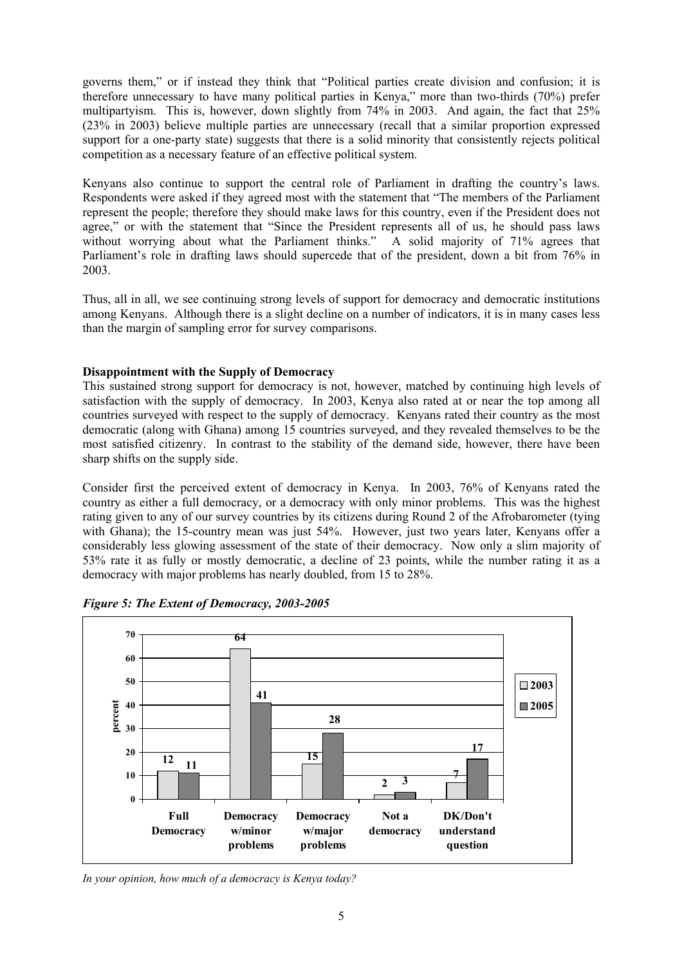governs them," or if instead they think that "Political parties create division and confusion; it is therefore unnecessary to have many political parties in Kenya," more than two-thirds (70%) prefer multipartyism. This is, however, down slightly from 74% in 2003. And again, the fact that 25% (23% in 2003) believe multiple parties are unnecessary (recall that a similar proportion expressed support for a one-party state) suggests that there is a solid minority that consistently rejects political competition as a necessary feature of an effective political system.

Kenyans also continue to support the central role of Parliament in drafting the country's laws. Respondents were asked if they agreed most with the statement that "The members of the Parliament represent the people; therefore they should make laws for this country, even if the President does not agree," or with the statement that "Since the President represents all of us, he should pass laws without worrying about what the Parliament thinks." A solid majority of 71% agrees that Parliament's role in drafting laws should supercede that of the president, down a bit from 76% in 2003.

Thus, all in all, we see continuing strong levels of support for democracy and democratic institutions among Kenyans. Although there is a slight decline on a number of indicators, it is in many cases less than the margin of sampling error for survey comparisons.

## **Disappointment with the Supply of Democracy**

This sustained strong support for democracy is not, however, matched by continuing high levels of satisfaction with the supply of democracy. In 2003, Kenya also rated at or near the top among all countries surveyed with respect to the supply of democracy. Kenyans rated their country as the most democratic (along with Ghana) among 15 countries surveyed, and they revealed themselves to be the most satisfied citizenry. In contrast to the stability of the demand side, however, there have been sharp shifts on the supply side.

Consider first the perceived extent of democracy in Kenya. In 2003, 76% of Kenyans rated the country as either a full democracy, or a democracy with only minor problems. This was the highest rating given to any of our survey countries by its citizens during Round 2 of the Afrobarometer (tying with Ghana); the 15-country mean was just 54%. However, just two years later, Kenyans offer a considerably less glowing assessment of the state of their democracy. Now only a slim majority of 53% rate it as fully or mostly democratic, a decline of 23 points, while the number rating it as a democracy with major problems has nearly doubled, from 15 to 28%.



*Figure 5: The Extent of Democracy, 2003-2005* 

*In your opinion, how much of a democracy is Kenya today?*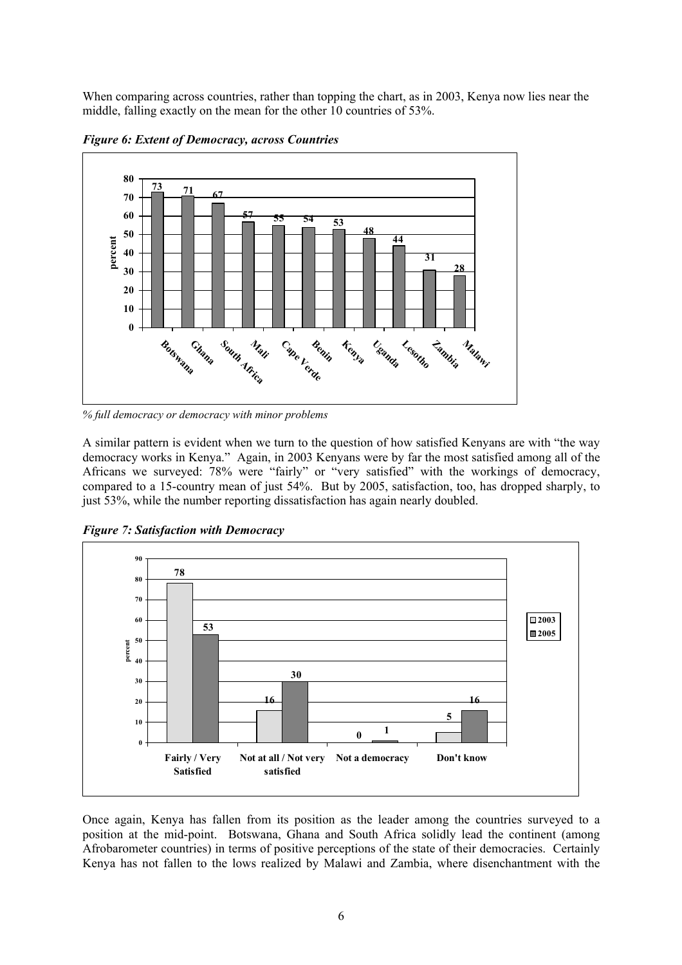When comparing across countries, rather than topping the chart, as in 2003, Kenya now lies near the middle, falling exactly on the mean for the other 10 countries of 53%.



*Figure 6: Extent of Democracy, across Countries* 

*% full democracy or democracy with minor problems* 

A similar pattern is evident when we turn to the question of how satisfied Kenyans are with "the way democracy works in Kenya." Again, in 2003 Kenyans were by far the most satisfied among all of the Africans we surveyed: 78% were "fairly" or "very satisfied" with the workings of democracy, compared to a 15-country mean of just 54%. But by 2005, satisfaction, too, has dropped sharply, to just 53%, while the number reporting dissatisfaction has again nearly doubled.

*Figure 7: Satisfaction with Democracy* 



Once again, Kenya has fallen from its position as the leader among the countries surveyed to a position at the mid-point. Botswana, Ghana and South Africa solidly lead the continent (among Afrobarometer countries) in terms of positive perceptions of the state of their democracies. Certainly Kenya has not fallen to the lows realized by Malawi and Zambia, where disenchantment with the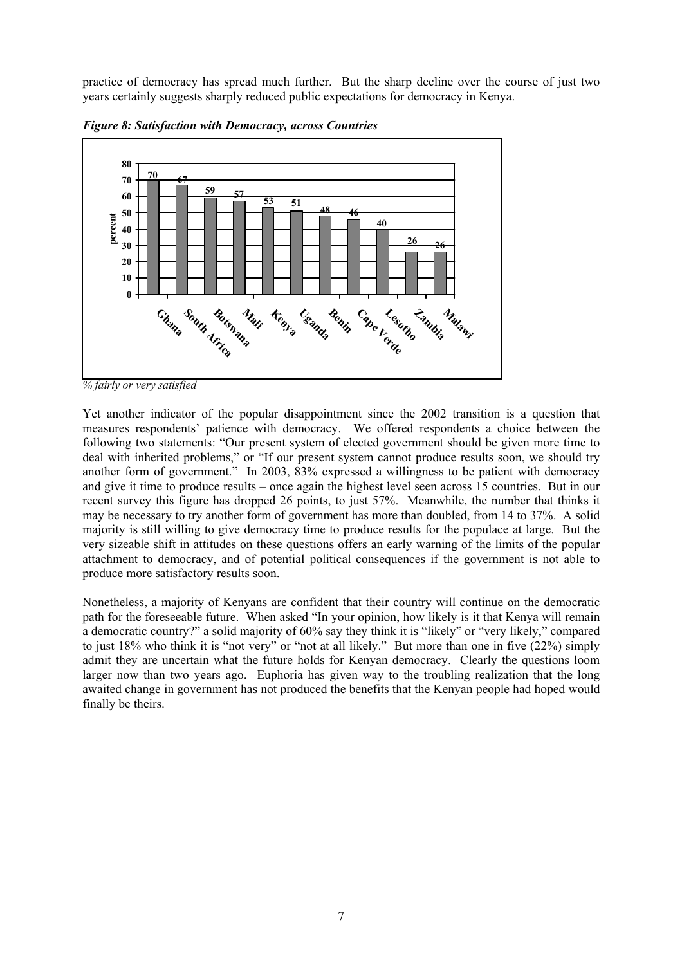practice of democracy has spread much further. But the sharp decline over the course of just two years certainly suggests sharply reduced public expectations for democracy in Kenya.



*Figure 8: Satisfaction with Democracy, across Countries* 

Yet another indicator of the popular disappointment since the 2002 transition is a question that measures respondents' patience with democracy. We offered respondents a choice between the following two statements: "Our present system of elected government should be given more time to deal with inherited problems," or "If our present system cannot produce results soon, we should try another form of government." In 2003, 83% expressed a willingness to be patient with democracy and give it time to produce results – once again the highest level seen across 15 countries. But in our recent survey this figure has dropped 26 points, to just 57%. Meanwhile, the number that thinks it may be necessary to try another form of government has more than doubled, from 14 to 37%. A solid majority is still willing to give democracy time to produce results for the populace at large. But the very sizeable shift in attitudes on these questions offers an early warning of the limits of the popular attachment to democracy, and of potential political consequences if the government is not able to produce more satisfactory results soon.

Nonetheless, a majority of Kenyans are confident that their country will continue on the democratic path for the foreseeable future. When asked "In your opinion, how likely is it that Kenya will remain a democratic country?" a solid majority of 60% say they think it is "likely" or "very likely," compared to just 18% who think it is "not very" or "not at all likely." But more than one in five (22%) simply admit they are uncertain what the future holds for Kenyan democracy. Clearly the questions loom larger now than two years ago. Euphoria has given way to the troubling realization that the long awaited change in government has not produced the benefits that the Kenyan people had hoped would finally be theirs.

*<sup>%</sup> fairly or very satisfied*